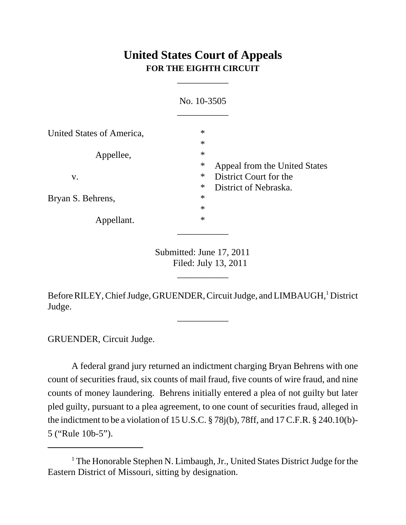## **United States Court of Appeals FOR THE EIGHTH CIRCUIT**

\_\_\_\_\_\_\_\_\_\_\_

|                           | No. 10-3505                                                       |
|---------------------------|-------------------------------------------------------------------|
| United States of America, | $\ast$<br>$\ast$                                                  |
| Appellee,                 | $\ast$<br>$\ast$                                                  |
| V.                        | Appeal from the United States<br>$\ast$<br>District Court for the |
| Bryan S. Behrens,         | $\ast$<br>District of Nebraska.<br>$\ast$<br>$\ast$               |
| Appellant.                | $\ast$                                                            |
|                           |                                                                   |

Submitted: June 17, 2011 Filed: July 13, 2011

\_\_\_\_\_\_\_\_\_\_\_

Before RILEY, Chief Judge, GRUENDER, Circuit Judge, and LIMBAUGH,<sup>1</sup> District Judge.

\_\_\_\_\_\_\_\_\_\_\_

GRUENDER, Circuit Judge.

A federal grand jury returned an indictment charging Bryan Behrens with one count of securities fraud, six counts of mail fraud, five counts of wire fraud, and nine counts of money laundering. Behrens initially entered a plea of not guilty but later pled guilty, pursuant to a plea agreement, to one count of securities fraud, alleged in the indictment to be a violation of 15 U.S.C. § 78j(b), 78ff, and 17 C.F.R. § 240.10(b)- 5 ("Rule 10b-5").

<sup>&</sup>lt;sup>1</sup> The Honorable Stephen N. Limbaugh, Jr., United States District Judge for the Eastern District of Missouri, sitting by designation.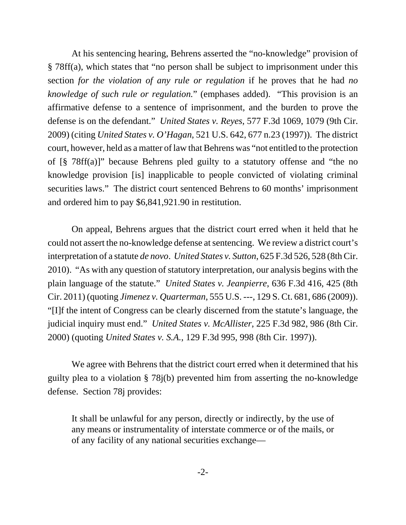At his sentencing hearing, Behrens asserted the "no-knowledge" provision of § 78ff(a), which states that "no person shall be subject to imprisonment under this section *for the violation of any rule or regulation* if he proves that he had *no knowledge of such rule or regulation.*" (emphases added). "This provision is an affirmative defense to a sentence of imprisonment, and the burden to prove the defense is on the defendant." *United States v. Reyes*, 577 F.3d 1069, 1079 (9th Cir. 2009) (citing *United States v. O'Hagan*, 521 U.S. 642, 677 n.23 (1997)). The district court, however, held as a matter of law that Behrens was "not entitled to the protection of [§ 78ff(a)]" because Behrens pled guilty to a statutory offense and "the no knowledge provision [is] inapplicable to people convicted of violating criminal securities laws." The district court sentenced Behrens to 60 months' imprisonment and ordered him to pay \$6,841,921.90 in restitution.

On appeal, Behrens argues that the district court erred when it held that he could not assert the no-knowledge defense at sentencing. We review a district court's interpretation of a statute *de novo*. *United States v. Sutton*, 625 F.3d 526, 528 (8th Cir. 2010). "As with any question of statutory interpretation, our analysis begins with the plain language of the statute." *United States v. Jeanpierre*, 636 F.3d 416, 425 (8th Cir. 2011) (quoting *Jimenez v. Quarterman*, 555 U.S. ---, 129 S. Ct. 681, 686 (2009)). "[I]f the intent of Congress can be clearly discerned from the statute's language, the judicial inquiry must end." *United States v. McAllister*, 225 F.3d 982, 986 (8th Cir. 2000) (quoting *United States v. S.A.*, 129 F.3d 995, 998 (8th Cir. 1997)).

We agree with Behrens that the district court erred when it determined that his guilty plea to a violation § 78j(b) prevented him from asserting the no-knowledge defense. Section 78j provides:

It shall be unlawful for any person, directly or indirectly, by the use of any means or instrumentality of interstate commerce or of the mails, or of any facility of any national securities exchange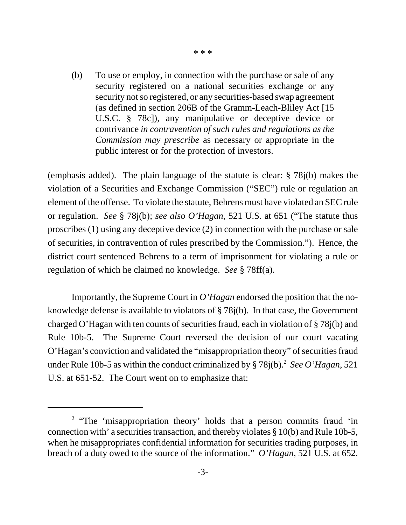(b) To use or employ, in connection with the purchase or sale of any security registered on a national securities exchange or any security not so registered, or any securities-based swap agreement (as defined in section 206B of the Gramm-Leach-Bliley Act [15 U.S.C. § 78c]), any manipulative or deceptive device or contrivance *in contravention of such rules and regulations as the Commission may prescribe* as necessary or appropriate in the public interest or for the protection of investors.

(emphasis added). The plain language of the statute is clear: § 78j(b) makes the violation of a Securities and Exchange Commission ("SEC") rule or regulation an element of the offense. To violate the statute, Behrens must have violated an SEC rule or regulation. *See* § 78j(b); *see also O'Hagan*, 521 U.S. at 651 ("The statute thus proscribes (1) using any deceptive device (2) in connection with the purchase or sale of securities, in contravention of rules prescribed by the Commission."). Hence, the district court sentenced Behrens to a term of imprisonment for violating a rule or regulation of which he claimed no knowledge. *See* § 78ff(a).

Importantly, the Supreme Court in *O'Hagan* endorsed the position that the noknowledge defense is available to violators of § 78j(b). In that case, the Government charged O'Hagan with ten counts of securities fraud, each in violation of § 78j(b) and Rule 10b-5. The Supreme Court reversed the decision of our court vacating O'Hagan's conviction and validated the "misappropriation theory" of securities fraud under Rule 10b-5 as within the conduct criminalized by  $\S 78j(b)$ .<sup>2</sup> See O'Hagan, 521 U.S. at 651-52. The Court went on to emphasize that:

<sup>&</sup>lt;sup>2</sup> "The 'misappropriation theory' holds that a person commits fraud 'in connection with' a securities transaction, and thereby violates § 10(b) and Rule 10b-5, when he misappropriates confidential information for securities trading purposes, in breach of a duty owed to the source of the information." *O'Hagan*, 521 U.S. at 652.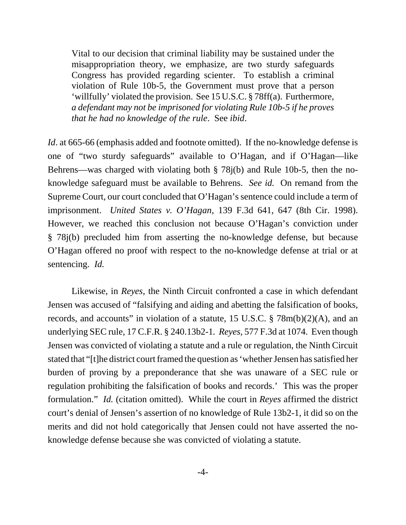Vital to our decision that criminal liability may be sustained under the misappropriation theory, we emphasize, are two sturdy safeguards Congress has provided regarding scienter. To establish a criminal violation of Rule 10b-5, the Government must prove that a person 'willfully' violated the provision. See 15 U.S.C. § 78ff(a). Furthermore, *a defendant may not be imprisoned for violating Rule 10b-5 if he proves that he had no knowledge of the rule*. See *ibid*.

*Id*. at 665-66 (emphasis added and footnote omitted). If the no-knowledge defense is one of "two sturdy safeguards" available to O'Hagan, and if O'Hagan—like Behrens—was charged with violating both § 78j(b) and Rule 10b-5, then the noknowledge safeguard must be available to Behrens. *See id.* On remand from the Supreme Court, our court concluded that O'Hagan's sentence could include a term of imprisonment. *United States v. O'Hagan*, 139 F.3d 641, 647 (8th Cir. 1998). However, we reached this conclusion not because O'Hagan's conviction under § 78j(b) precluded him from asserting the no-knowledge defense, but because O'Hagan offered no proof with respect to the no-knowledge defense at trial or at sentencing. *Id.*

Likewise, in *Reyes*, the Ninth Circuit confronted a case in which defendant Jensen was accused of "falsifying and aiding and abetting the falsification of books, records, and accounts" in violation of a statute, 15 U.S.C. § 78m(b)(2)(A), and an underlying SEC rule, 17 C.F.R. § 240.13b2-1*. Reyes*, 577 F.3d at 1074. Even though Jensen was convicted of violating a statute and a rule or regulation, the Ninth Circuit stated that "[t]he district court framed the question as 'whether Jensen has satisfied her burden of proving by a preponderance that she was unaware of a SEC rule or regulation prohibiting the falsification of books and records.' This was the proper formulation." *Id.* (citation omitted). While the court in *Reyes* affirmed the district court's denial of Jensen's assertion of no knowledge of Rule 13b2-1, it did so on the merits and did not hold categorically that Jensen could not have asserted the noknowledge defense because she was convicted of violating a statute.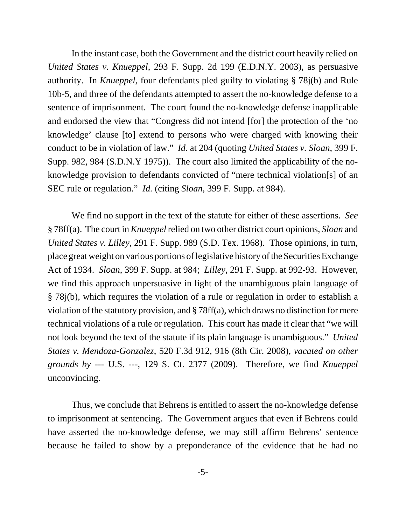In the instant case, both the Government and the district court heavily relied on *United States v. Knueppel*, 293 F. Supp. 2d 199 (E.D.N.Y. 2003), as persuasive authority. In *Knueppel*, four defendants pled guilty to violating § 78j(b) and Rule 10b-5, and three of the defendants attempted to assert the no-knowledge defense to a sentence of imprisonment. The court found the no-knowledge defense inapplicable and endorsed the view that "Congress did not intend [for] the protection of the 'no knowledge' clause [to] extend to persons who were charged with knowing their conduct to be in violation of law." *Id.* at 204 (quoting *United States v. Sloan*, 399 F. Supp. 982, 984 (S.D.N.Y 1975)). The court also limited the applicability of the noknowledge provision to defendants convicted of "mere technical violation[s] of an SEC rule or regulation." *Id.* (citing *Sloan*, 399 F. Supp. at 984).

We find no support in the text of the statute for either of these assertions. *See* § 78ff(a). The court in *Knueppel* relied on two other district court opinions, *Sloan* and *United States v. Lilley*, 291 F. Supp. 989 (S.D. Tex. 1968). Those opinions, in turn, place great weight on various portions of legislative history of the Securities Exchange Act of 1934. *Sloan*, 399 F. Supp. at 984; *Lilley*, 291 F. Supp. at 992-93. However, we find this approach unpersuasive in light of the unambiguous plain language of § 78j(b), which requires the violation of a rule or regulation in order to establish a violation of the statutory provision, and § 78ff(a), which draws no distinction for mere technical violations of a rule or regulation. This court has made it clear that "we will not look beyond the text of the statute if its plain language is unambiguous." *United States v. Mendoza-Gonzalez*, 520 F.3d 912, 916 (8th Cir. 2008), *vacated on other grounds by* --- U.S. ---, 129 S. Ct. 2377 (2009). Therefore, we find *Knueppel* unconvincing.

Thus, we conclude that Behrens is entitled to assert the no-knowledge defense to imprisonment at sentencing. The Government argues that even if Behrens could have asserted the no-knowledge defense, we may still affirm Behrens' sentence because he failed to show by a preponderance of the evidence that he had no